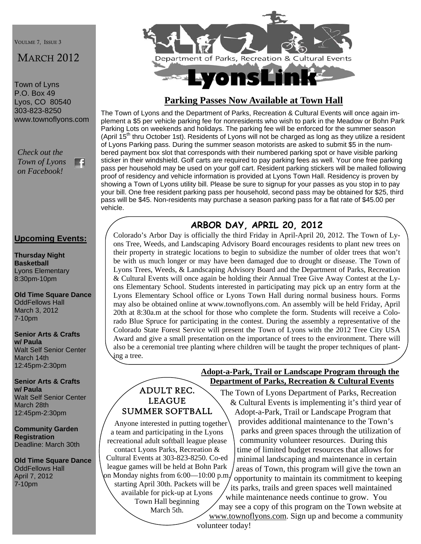VOULME 7, ISSUE 3

# MARCH 2012

Town of Lyns P.O. Box 49 Lyos, CO 80540 303-823-8250 www.townoflyons.com

*Check out the Town of Lyons*  m *on Facebook!* 

### **Upcoming Events:**

**Thursday Night Basketball**  Lyons Elementary 8:30pm-10pm

**Old Time Square Dance**  OddFellows Hall March 3, 2012 7-10pm

#### **Senior Arts & Crafts w/ Paula**  Walt Self Senior Center March 14th 12:45pm-2:30pm

**Senior Arts & Crafts w/ Paula**  Walt Self Senior Center March 28th 12:45pm-2:30pm

**Community Garden Registration**  Deadline: March 30th

**Old Time Square Dance**  OddFellows Hall April 7, 2012 7-10pm



# **Parking Passes Now Available at Town Hall**

The Town of Lyons and the Department of Parks, Recreation & Cultural Events will once again implement a \$5 per vehicle parking fee for nonresidents who wish to park in the Meadow or Bohn Park Parking Lots on weekends and holidays. The parking fee will be enforced for the summer season (April  $15<sup>th</sup>$  thru October 1st). Residents of Lyons will not be charged as long as they utilize a resident of Lyons Parking pass. During the summer season motorists are asked to submit \$5 in the numbered payment box slot that corresponds with their numbered parking spot or have visible parking sticker in their windshield. Golf carts are required to pay parking fees as well. Your one free parking pass per household may be used on your golf cart. Resident parking stickers will be mailed following proof of residency and vehicle information is provided at Lyons Town Hall. Residency is proven by showing a Town of Lyons utility bill. Please be sure to signup for your passes as you stop in to pay your bill. One free resident parking pass per household, second pass may be obtained for \$25, third pass will be \$45. Non-residents may purchase a season parking pass for a flat rate of \$45.00 per vehicle.

# **ARBOR DAY, APRIL 20, 2012**

Colorado's Arbor Day is officially the third Friday in April-April 20, 2012. The Town of Lyons Tree, Weeds, and Landscaping Advisory Board encourages residents to plant new trees on their property in strategic locations to begin to subsidize the number of older trees that won't be with us much longer or may have been damaged due to drought or disease. The Town of Lyons Trees, Weeds, & Landscaping Advisory Board and the Department of Parks, Recreation & Cultural Events will once again be holding their Annual Tree Give Away Contest at the Lyons Elementary School. Students interested in participating may pick up an entry form at the Lyons Elementary School office or Lyons Town Hall during normal business hours. Forms may also be obtained online at www.townoflyons.com. An assembly will be held Friday, April 20th at 8:30a.m at the school for those who complete the form. Students will receive a Colorado Blue Spruce for participating in the contest. During the assembly a representative of the Colorado State Forest Service will present the Town of Lyons with the 2012 Tree City USA Award and give a small presentation on the importance of trees to the environment. There will also be a ceremonial tree planting where children will be taught the proper techniques of planting a tree.

# ADULT REC. LEAGUE SUMMER SOFTBALL

 Anyone interested in putting together a team and participating in the Lyons recreational adult softball league please contact Lyons Parks, Recreation &

Cultural Events at 303-823-8250. Co-ed league games will be held at Bohn Park on Monday nights from 6:00—10:00 p.m. starting April 30th. Packets will be available for pick-up at Lyons Town Hall beginning

March 5th.

#### **Adopt-a-Park, Trail or Landscape Program through the Department of Parks, Recreation & Cultural Events**

The Town of Lyons Department of Parks, Recreation & Cultural Events is implementing it's third year of Adopt-a-Park, Trail or Landscape Program that provides additional maintenance to the Town's parks and green spaces through the utilization of community volunteer resources. During this time of limited budget resources that allows for minimal landscaping and maintenance in certain areas of Town, this program will give the town an opportunity to maintain its commitment to keeping its parks, trails and green spaces well maintained while maintenance needs continue to grow. You may see a copy of this program on the Town website at

www.townoflyons.com. Sign up and become a community

volunteer today!